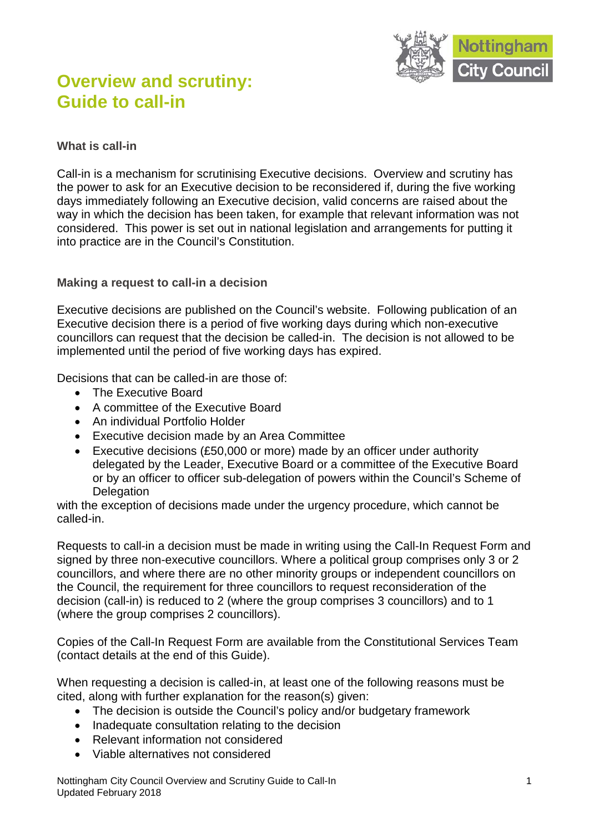

# **Overview and scrutiny: Guide to call-in**

## **What is call-in**

Call-in is a mechanism for scrutinising Executive decisions. Overview and scrutiny has the power to ask for an Executive decision to be reconsidered if, during the five working days immediately following an Executive decision, valid concerns are raised about the way in which the decision has been taken, for example that relevant information was not considered. This power is set out in national legislation and arrangements for putting it into practice are in the Council's Constitution.

## **Making a request to call-in a decision**

Executive decisions are published on the Council's website. Following publication of an Executive decision there is a period of five working days during which non-executive councillors can request that the decision be called-in. The decision is not allowed to be implemented until the period of five working days has expired.

Decisions that can be called-in are those of:

- The Executive Board
- A committee of the Executive Board
- An individual Portfolio Holder
- Executive decision made by an Area Committee
- Executive decisions (£50,000 or more) made by an officer under authority delegated by the Leader, Executive Board or a committee of the Executive Board or by an officer to officer sub-delegation of powers within the Council's Scheme of **Delegation**

with the exception of decisions made under the urgency procedure, which cannot be called-in.

Requests to call-in a decision must be made in writing using the Call-In Request Form and signed by three non-executive councillors. Where a political group comprises only 3 or 2 councillors, and where there are no other minority groups or independent councillors on the Council, the requirement for three councillors to request reconsideration of the decision (call-in) is reduced to 2 (where the group comprises 3 councillors) and to 1 (where the group comprises 2 councillors).

Copies of the Call-In Request Form are available from the Constitutional Services Team (contact details at the end of this Guide).

When requesting a decision is called-in, at least one of the following reasons must be cited, along with further explanation for the reason(s) given:

- The decision is outside the Council's policy and/or budgetary framework
- Inadequate consultation relating to the decision
- Relevant information not considered
- Viable alternatives not considered

Nottingham City Council Overview and Scrutiny Guide to Call-In Updated February 2018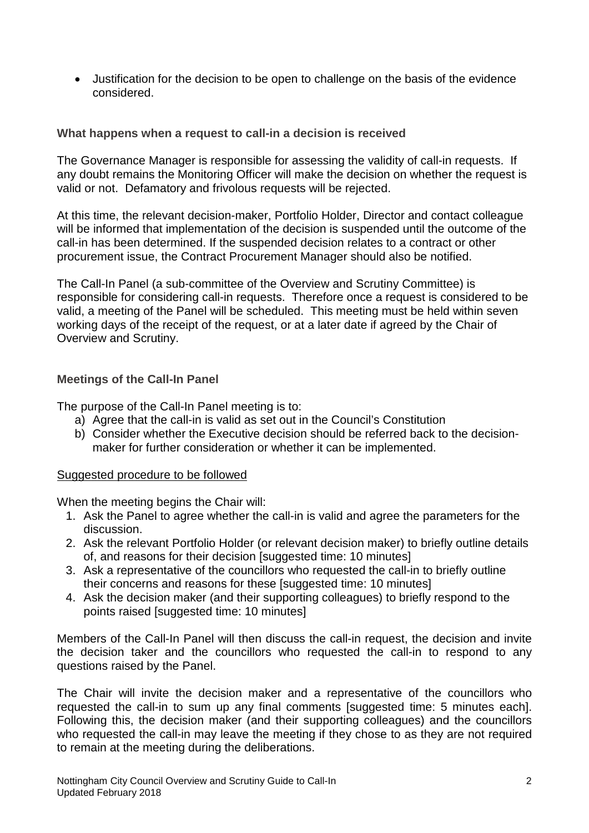• Justification for the decision to be open to challenge on the basis of the evidence considered.

### **What happens when a request to call-in a decision is received**

The Governance Manager is responsible for assessing the validity of call-in requests. If any doubt remains the Monitoring Officer will make the decision on whether the request is valid or not. Defamatory and frivolous requests will be rejected.

At this time, the relevant decision-maker, Portfolio Holder, Director and contact colleague will be informed that implementation of the decision is suspended until the outcome of the call-in has been determined. If the suspended decision relates to a contract or other procurement issue, the Contract Procurement Manager should also be notified.

The Call-In Panel (a sub-committee of the Overview and Scrutiny Committee) is responsible for considering call-in requests. Therefore once a request is considered to be valid, a meeting of the Panel will be scheduled. This meeting must be held within seven working days of the receipt of the request, or at a later date if agreed by the Chair of Overview and Scrutiny.

## **Meetings of the Call-In Panel**

The purpose of the Call-In Panel meeting is to:

- a) Agree that the call-in is valid as set out in the Council's Constitution
- b) Consider whether the Executive decision should be referred back to the decisionmaker for further consideration or whether it can be implemented.

#### Suggested procedure to be followed

When the meeting begins the Chair will:

- 1. Ask the Panel to agree whether the call-in is valid and agree the parameters for the discussion.
- 2. Ask the relevant Portfolio Holder (or relevant decision maker) to briefly outline details of, and reasons for their decision [suggested time: 10 minutes]
- 3. Ask a representative of the councillors who requested the call-in to briefly outline their concerns and reasons for these [suggested time: 10 minutes]
- 4. Ask the decision maker (and their supporting colleagues) to briefly respond to the points raised [suggested time: 10 minutes]

Members of the Call-In Panel will then discuss the call-in request, the decision and invite the decision taker and the councillors who requested the call-in to respond to any questions raised by the Panel.

The Chair will invite the decision maker and a representative of the councillors who requested the call-in to sum up any final comments [suggested time: 5 minutes each]. Following this, the decision maker (and their supporting colleagues) and the councillors who requested the call-in may leave the meeting if they chose to as they are not required to remain at the meeting during the deliberations.